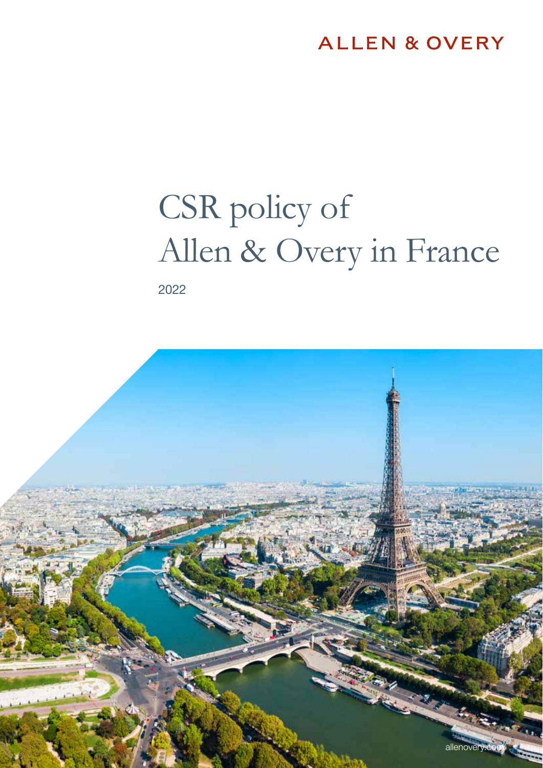### **ALLEN & OVERY**

# CSR policy of Allen & Overy in France

2022

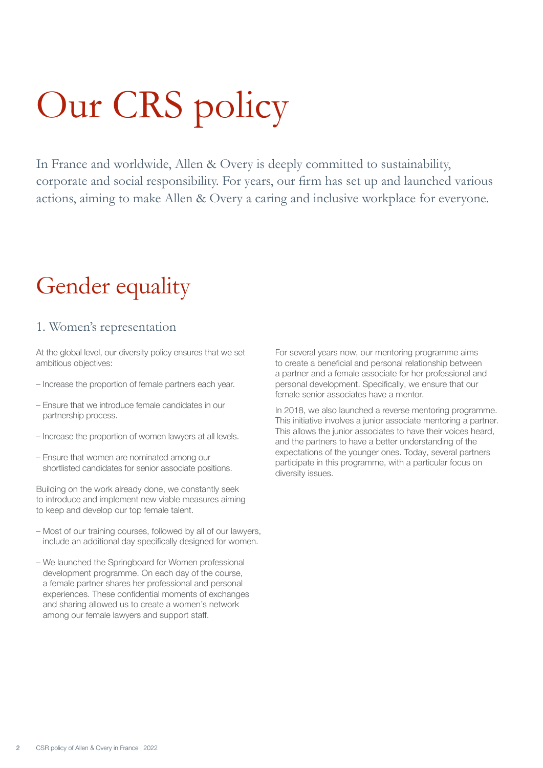# Our CRS policy

In France and worldwide, Allen & Overy is deeply committed to sustainability, corporate and social responsibility. For years, our firm has set up and launched various actions, aiming to make Allen & Overy a caring and inclusive workplace for everyone.

# Gender equality

### 1. Women's representation

At the global level, our diversity policy ensures that we set ambitious objectives:

- Increase the proportion of female partners each year.
- Ensure that we introduce female candidates in our partnership process.
- Increase the proportion of women lawyers at all levels.
- Ensure that women are nominated among our shortlisted candidates for senior associate positions.

Building on the work already done, we constantly seek to introduce and implement new viable measures aiming to keep and develop our top female talent.

- Most of our training courses, followed by all of our lawyers, include an additional day specifically designed for women.
- We launched the Springboard for Women professional development programme. On each day of the course, a female partner shares her professional and personal experiences. These confidential moments of exchanges and sharing allowed us to create a women's network among our female lawyers and support staff.

For several years now, our mentoring programme aims to create a beneficial and personal relationship between a partner and a female associate for her professional and personal development. Specifically, we ensure that our female senior associates have a mentor.

In 2018, we also launched a reverse mentoring programme. This initiative involves a junior associate mentoring a partner. This allows the junior associates to have their voices heard, and the partners to have a better understanding of the expectations of the younger ones. Today, several partners participate in this programme, with a particular focus on diversity issues.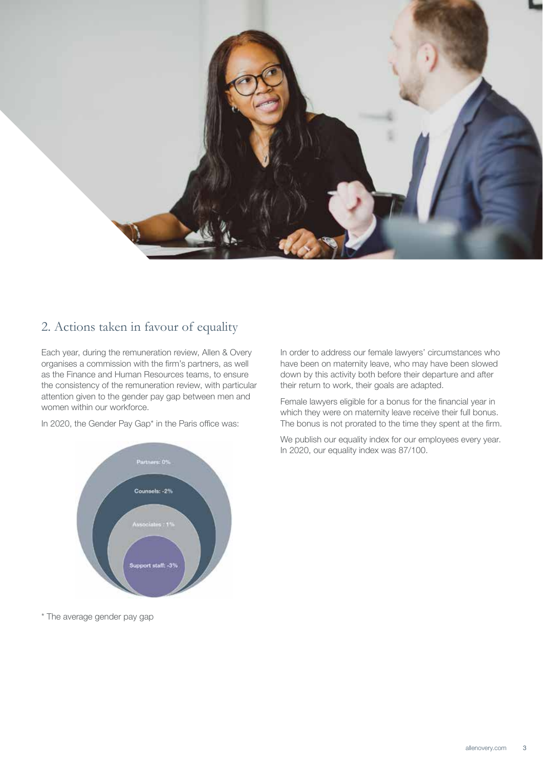

### 2. Actions taken in favour of equality

Each year, during the remuneration review, Allen & Overy organises a commission with the firm's partners, as well as the Finance and Human Resources teams, to ensure the consistency of the remuneration review, with particular attention given to the gender pay gap between men and women within our workforce.

In 2020, the Gender Pay Gap\* in the Paris office was:



Female lawyers eligible for a bonus for the financial year in which they were on maternity leave receive their full bonus. The bonus is not prorated to the time they spent at the firm.

We publish our equality index for our employees every year. In 2020, our equality index was 87/100.



\* The average gender pay gap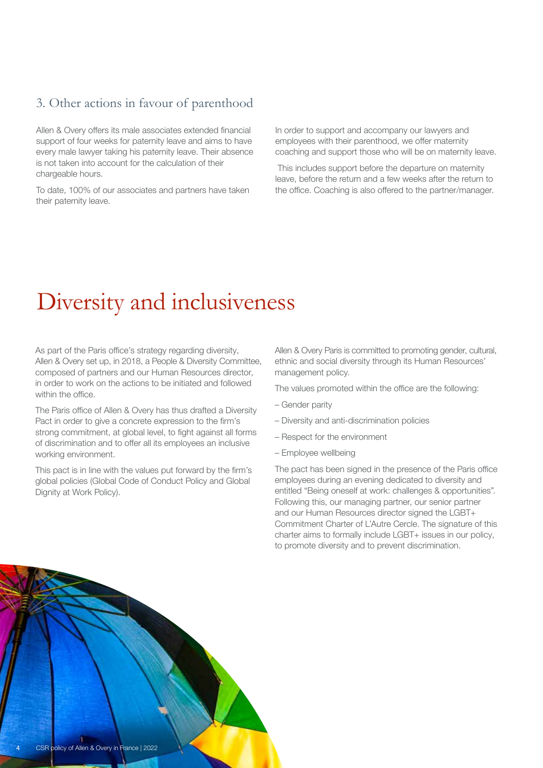### 3. Other actions in favour of parenthood

Allen & Overy offers its male associates extended financial support of four weeks for paternity leave and aims to have every male lawyer taking his paternity leave. Their absence is not taken into account for the calculation of their chargeable hours.

To date, 100% of our associates and partners have taken their paternity leave.

In order to support and accompany our lawyers and employees with their parenthood, we offer maternity coaching and support those who will be on maternity leave.

 This includes support before the departure on maternity leave, before the return and a few weeks after the return to the office. Coaching is also offered to the partner/manager.

## Diversity and inclusiveness

As part of the Paris office's strategy regarding diversity, Allen & Overy set up, in 2018, a People & Diversity Committee, composed of partners and our Human Resources director, in order to work on the actions to be initiated and followed within the office.

The Paris office of Allen & Overy has thus drafted a Diversity Pact in order to give a concrete expression to the firm's strong commitment, at global level, to fight against all forms of discrimination and to offer all its employees an inclusive working environment.

This pact is in line with the values put forward by the firm's global policies (Global Code of Conduct Policy and Global Dignity at Work Policy).

Allen & Overy Paris is committed to promoting gender, cultural, ethnic and social diversity through its Human Resources' management policy.

The values promoted within the office are the following:

- Gender parity
- Diversity and anti-discrimination policies
- Respect for the environment
- Employee wellbeing

The pact has been signed in the presence of the Paris office employees during an evening dedicated to diversity and entitled "Being oneself at work: challenges & opportunities". Following this, our managing partner, our senior partner and our Human Resources director signed the LGBT+ Commitment Charter of L'Autre Cercle. The signature of this charter aims to formally include LGBT+ issues in our policy, to promote diversity and to prevent discrimination.

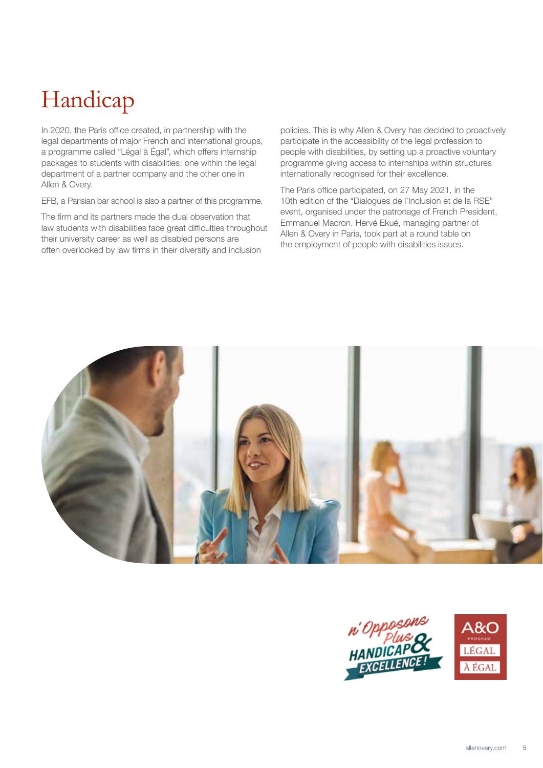# Handicap

In 2020, the Paris office created, in partnership with the legal departments of major French and international groups, a programme called "Légal à Égal", which offers internship packages to students with disabilities: one within the legal department of a partner company and the other one in Allen & Overy.

EFB, a Parisian bar school is also a partner of this programme.

The firm and its partners made the dual observation that law students with disabilities face great difficulties throughout their university career as well as disabled persons are often overlooked by law firms in their diversity and inclusion

policies. This is why Allen & Overy has decided to proactively participate in the accessibility of the legal profession to people with disabilities, by setting up a proactive voluntary programme giving access to internships within structures internationally recognised for their excellence.

The Paris office participated, on 27 May 2021, in the 10th edition of the "Dialogues de l'Inclusion et de la RSE" event, organised under the patronage of French President, Emmanuel Macron. Hervé Ekué, managing partner of Allen & Overy in Paris, took part at a round table on the employment of people with disabilities issues.



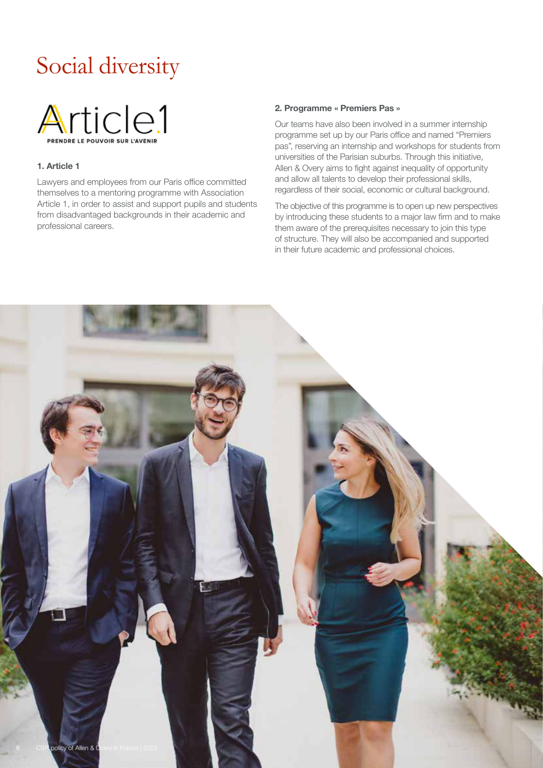# Social diversity



#### 1. Article 1

Lawyers and employees from our Paris office committed themselves to a mentoring programme with Association Article 1, in order to assist and support pupils and students from disadvantaged backgrounds in their academic and professional careers.

#### 2. Programme « Premiers Pas »

Our teams have also been involved in a summer internship programme set up by our Paris office and named "Premiers pas", reserving an internship and workshops for students from universities of the Parisian suburbs. Through this initiative, Allen & Overy aims to fight against inequality of opportunity and allow all talents to develop their professional skills, regardless of their social, economic or cultural background.

The objective of this programme is to open up new perspectives by introducing these students to a major law firm and to make them aware of the prerequisites necessary to join this type of structure. They will also be accompanied and supported in their future academic and professional choices.

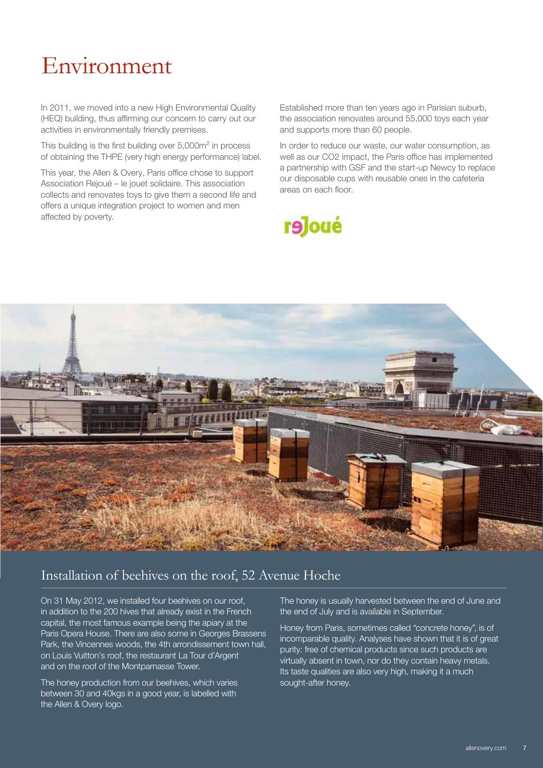## Environment

In 2011, we moved into a new High Environmental Quality (HEQ) building, thus affirming our concern to carry out our activities in environmentally friendly premises.

This building is the first building over 5,000m² in process of obtaining the THPE (very high energy performance) label.

This year, the Allen & Overy, Paris office chose to support Association Rejoué – le jouet solidaire. This association collects and renovates toys to give them a second life and offers a unique integration project to women and men affected by poverty.

Established more than ten years ago in Parisian suburb, the association renovates around 55,000 toys each year and supports more than 60 people.

In order to reduce our waste, our water consumption, as well as our CO2 impact, the Paris office has implemented a partnership with GSF and the start-up Newcy to replace our disposable cups with reusable ones in the cafeteria areas on each floor.





### Installation of beehives on the roof, 52 Avenue Hoche

On 31 May 2012, we installed four beehives on our roof, in addition to the 200 hives that already exist in the French capital, the most famous example being the apiary at the Paris Opera House. There are also some in Georges Brassens Park, the Vincennes woods, the 4th arrondissement town hall, on Louis Vuitton's roof, the restaurant La Tour d'Argent and on the roof of the Montparnasse Tower.

The honey production from our beehives, which varies between 30 and 40kgs in a good year, is labelled with the Allen & Overy logo.

The honey is usually harvested between the end of June and the end of July and is available in September.

Honey from Paris, sometimes called "concrete honey", is of incomparable quality. Analyses have shown that it is of great purity: free of chemical products since such products are virtually absent in town, nor do they contain heavy metals. Its taste qualities are also very high, making it a much sought-after honey.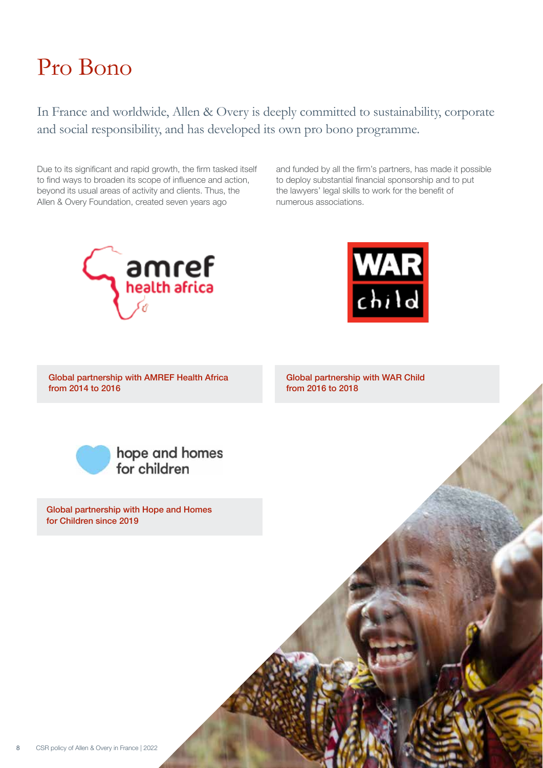## Pro Bono

In France and worldwide, Allen & Overy is deeply committed to sustainability, corporate and social responsibility, and has developed its own pro bono programme.

Due to its significant and rapid growth, the firm tasked itself to find ways to broaden its scope of influence and action, beyond its usual areas of activity and clients. Thus, the Allen & Overy Foundation, created seven years ago

and funded by all the firm's partners, has made it possible to deploy substantial financial sponsorship and to put the lawyers' legal skills to work for the benefit of numerous associations.





Global partnership with AMREF Health Africa from 2014 to 2016

Global partnership with WAR Child from 2016 to 2018



Global partnership with Hope and Homes for Children since 2019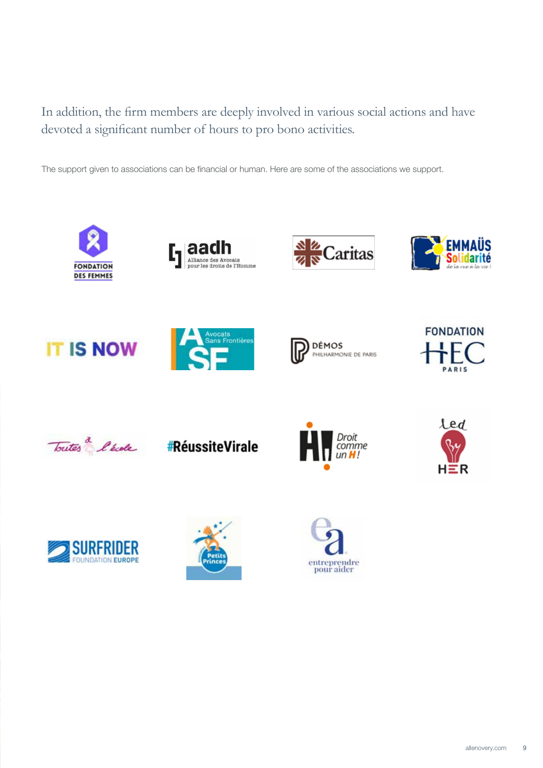### In addition, the firm members are deeply involved in various social actions and have devoted a significant number of hours to pro bono activities.

The support given to associations can be financial or human. Here are some of the associations we support.



















#RéussiteVirale









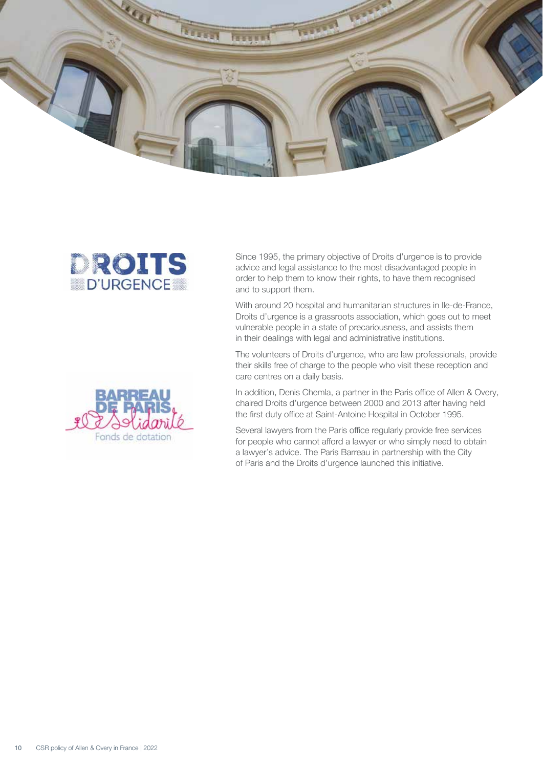



Since 1995, the primary objective of Droits d'urgence is to provide advice and legal assistance to the most disadvantaged people in order to help them to know their rights, to have them recognised and to support them.

With around 20 hospital and humanitarian structures in Ile-de-France, Droits d'urgence is a grassroots association, which goes out to meet vulnerable people in a state of precariousness, and assists them in their dealings with legal and administrative institutions.

The volunteers of Droits d'urgence, who are law professionals, provide their skills free of charge to the people who visit these reception and care centres on a daily basis.

In addition, Denis Chemla, a partner in the Paris office of Allen & Overy, chaired Droits d'urgence between 2000 and 2013 after having held the first duty office at Saint-Antoine Hospital in October 1995.

Several lawyers from the Paris office regularly provide free services for people who cannot afford a lawyer or who simply need to obtain a lawyer's advice. The Paris Barreau in partnership with the City of Paris and the Droits d'urgence launched this initiative.

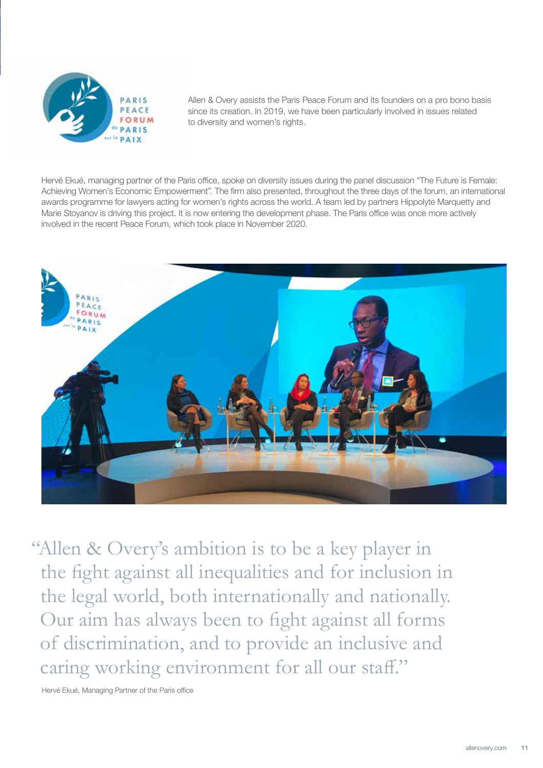

Allen & Overy assists the Paris Peace Forum and its founders on a pro bono basis since its creation. In 2019, we have been particularly involved in issues related to diversity and women's rights.

Hervé Ekué, managing partner of the Paris office, spoke on diversity issues during the panel discussion "The Future is Female: Achieving Women's Economic Empowerment". The firm also presented, throughout the three days of the forum, an international awards programme for lawyers acting for women's rights across the world. A team led by partners Hippolyte Marquetty and Marie Stoyanov is driving this project. It is now entering the development phase. The Paris office was once more actively involved in the recent Peace Forum, which took place in November 2020.



"Allen & Overy's ambition is to be a key player in the fight against all inequalities and for inclusion in the legal world, both internationally and nationally. Our aim has always been to fight against all forms of discrimination, and to provide an inclusive and caring working environment for all our staff."

Hervé Ekué, Managing Partner of the Paris office